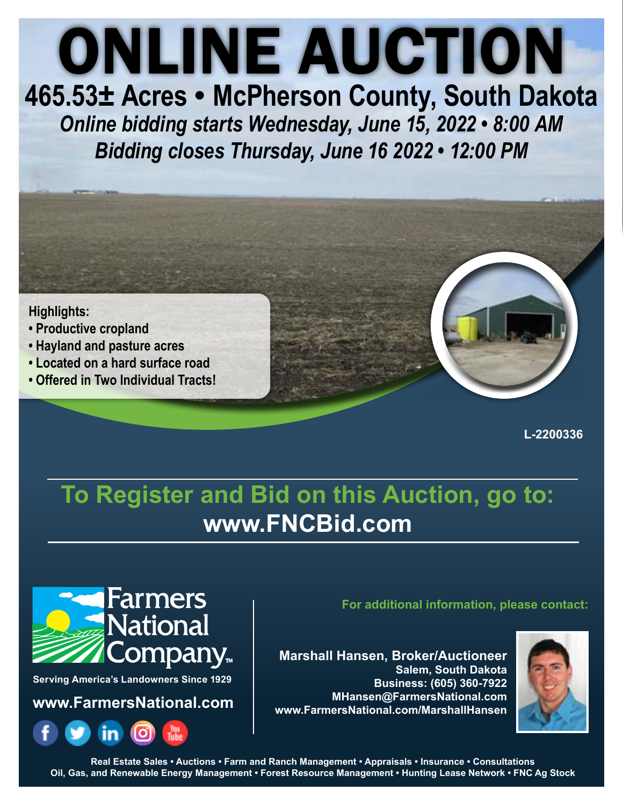# ONLINE AUCTION

**465.53± Acres • McPherson County, South Dakota** *Online bidding starts Wednesday, June 15, 2022 • 8:00 AM Bidding closes Thursday, June 16 2022 • 12:00 PM*

### **Highlights:**

- **Productive cropland**
- **Hayland and pasture acres**
- **Located on a hard surface road**
- **Offered in Two Individual Tracts!**

**L-2200336**

# **To Register and Bid on this Auction, go to: www.FNCBid.com**



**Serving America's Landowners Since 1929**

**www.FarmersNational.com**



**For additional information, please contact:**

**Marshall Hansen, Broker/Auctioneer Salem, South Dakota Business: (605) 360-7922 MHansen@FarmersNational.com www.FarmersNational.com/MarshallHansen**



**Real Estate Sales • Auctions • Farm and Ranch Management • Appraisals • Insurance • Consultations Oil, Gas, and Renewable Energy Management • Forest Resource Management • Hunting Lease Network • FNC Ag Stock**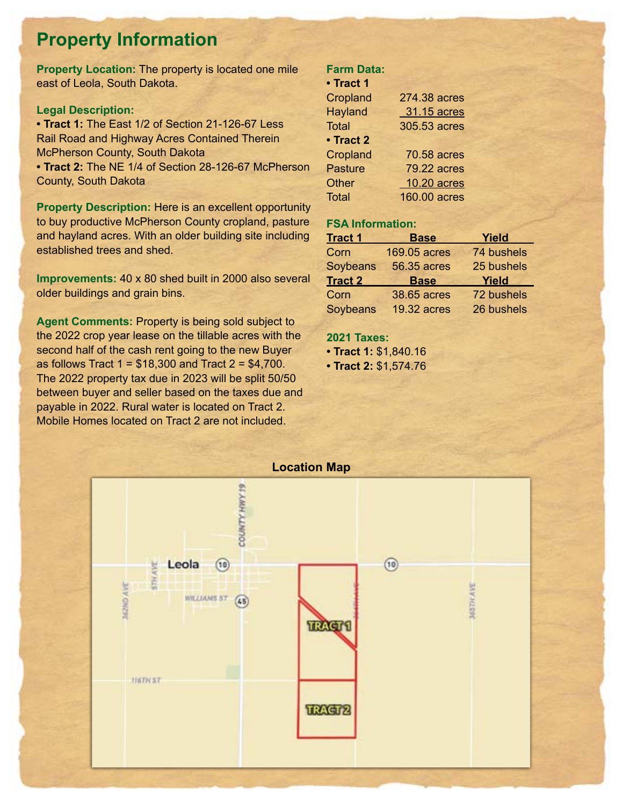## **Property Information**

**Property Location:** The property is located one mile east of Leola, South Dakota.

### **Legal Description:**

**• Tract 1:** The East 1/2 of Section 21-126-67 Less Rail Road and Highway Acres Contained Therein McPherson County, South Dakota

**• Tract 2:** The NE 1/4 of Section 28-126-67 McPherson County, South Dakota

**Property Description:** Here is an excellent opportunity to buy productive McPherson County cropland, pasture and hayland acres. With an older building site including established trees and shed.

**Improvements:** 40 x 80 shed built in 2000 also several older buildings and grain bins.

**Agent Comments:** Property is being sold subject to the 2022 crop year lease on the tillable acres with the second half of the cash rent going to the new Buyer as follows Tract 1 =  $$18,300$  and Tract 2 =  $$4,700$ . The 2022 property tax due in 2023 will be split 50/50 between buyer and seller based on the taxes due and payable in 2022. Rural water is located on Tract 2. Mobile Homes located on Tract 2 are not included.

### **Farm Data:**

| • Tract 1 |  |  |  |  |  |
|-----------|--|--|--|--|--|
|-----------|--|--|--|--|--|

| Cropland        | 274.38 acres        |
|-----------------|---------------------|
| <b>Hayland</b>  | 31.15 acres         |
| <b>Total</b>    | 305.53 acres        |
| • Tract 2       |                     |
| <b>Cropland</b> | <b>70.58 acres</b>  |
| <b>Pasture</b>  | <b>79.22 acres</b>  |
| <b>Other</b>    | 10.20 acres         |
| <b>Total</b>    | <b>160.00 acres</b> |

### **FSA Information:**

| <b>Tract 1</b> | <b>Base</b>        | Yield      |
|----------------|--------------------|------------|
| Corn           | 169.05 acres       | 74 bushels |
| Soybeans       | <b>56.35 acres</b> | 25 bushels |
|                |                    |            |
| <b>Tract 2</b> | <b>Base</b>        | Yield      |
| Corn           | 38.65 acres        | 72 bushels |

### **2021 Taxes:**

**• Tract 1:** \$1,840.16

**• Tract 2:** \$1,574.76

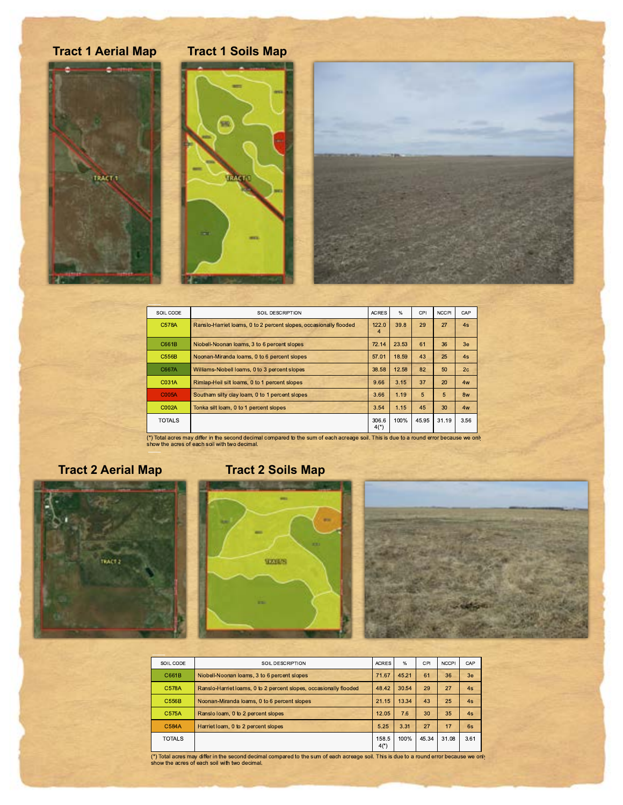# **Tract 1 Aerial Map Tract 1 Soils Map** TRACT 1

| SOIL CODE     | SOIL DESCRIPTION                                                  | <b>ACRES</b>    | $\frac{0}{6}$ | CPI   | <b>NCCPI</b> | CAP            |
|---------------|-------------------------------------------------------------------|-----------------|---------------|-------|--------------|----------------|
| C578A         | Ranslo-Harriet loams, 0 to 2 percent slopes, occasionally flooded | 122.0<br>4      | 39.8          | 29    | 27           | 4s             |
| C661B         | Niobell-Noonan loams, 3 to 6 percent slopes                       | 72.14           | 23.53         | 61    | 36           | 3e             |
| <b>C556B</b>  | Noonan-Miranda Ioams, 0 to 6 percent slopes                       | 57.01           | 18.59         | 43    | 25           | 4s             |
| C667A         | Williams-Niobell Ioams, 0 to 3 percent slopes                     | 38.58           | 12.58         | 82    | 50           | 2 <sub>c</sub> |
| C031A         | Rimlap-Heil silt loams, 0 to 1 percent slopes                     | 9.66            | 3.15          | 37    | 20           | 4w             |
| C005A         | Southam silty clay loam, 0 to 1 percent slopes                    | 3.66            | 1.19          | 5     | 5            | 8w             |
| C002A         | Tonka silt loam, 0 to 1 percent slopes                            | 3.54            | 1.15          | 45    | 30           | 4w             |
| <b>TOTALS</b> |                                                                   | 306.6<br>$4(*)$ | 100%          | 45.95 | 31.19        | 3.56           |

(\*) Total acres may differ in the second decimal compared to the sum of each acreage soil. This is due to a round error because we only show the acres of each soil with two decimal.

### **Tract 2 Aerial Map**

### **Tract 2 Soils Map**







| SOIL CODE     | SOIL DESCRIPTION                                                  | <b>ACRES</b>    | %     | CPI   | <b>NCCPI</b> | CAP            |
|---------------|-------------------------------------------------------------------|-----------------|-------|-------|--------------|----------------|
| C661B         | Niobell-Noonan loams, 3 to 6 percent slopes                       | 71.67           | 45.21 | 61    | 36           | 3 <sub>e</sub> |
| C578A         | Ranslo-Harriet loams, 0 to 2 percent slopes, occasionally flooded | 48.42           | 30.54 | 29    | 27           | 4s             |
| <b>C556B</b>  | Noonan-Miranda Ioams, 0 to 6 percent slopes                       | 21.15           | 13.34 | 43    | 25           | 4s             |
| C575A         | Ranslo loam, 0 to 2 percent slopes                                | 12.05           | 7.6   | 30    | 35           | 4s             |
| C584A         | Harriet loam, 0 to 2 percent slopes                               | 5.25            | 3.31  | 27    | 17           | 6s             |
| <b>TOTALS</b> |                                                                   | 158.5<br>$4(*)$ | 100%  | 45.34 | 31.08        | 3.61           |

(\*) Total acres may differ in the second decimal compared to the sum of each acreage soil. This is due to a round error because we only show the acres of each soil with two decimal.